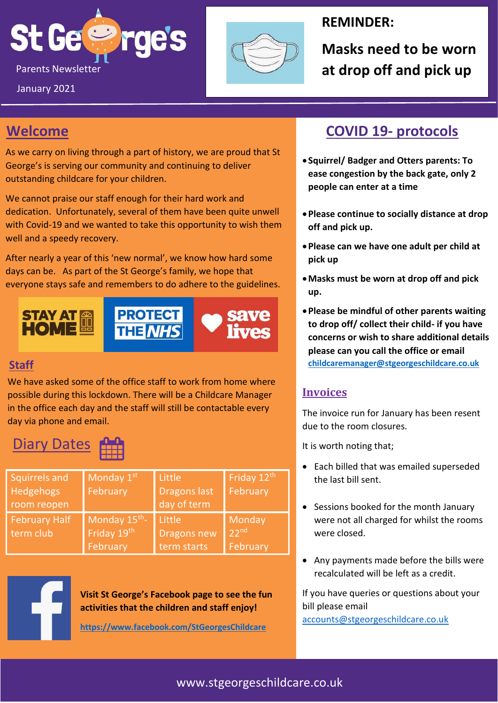



### **REMINDER:**

**Masks need to be worn** 

# **Welcome**

January 2021

As we carry on living through a part of history, we are proud that St George's is serving our community and continuing to deliver outstanding childcare for your children.

We cannot praise our staff enough for their hard work and dedication. Unfortunately, several of them have been quite unwell with Covid-19 and we wanted to take this opportunity to wish them well and a speedy recovery.

After nearly a year of this 'new normal', we know how hard some days can be. As part of the St George's family, we hope that everyone stays safe and remembers to do adhere to the guidelines.



### **Staff**

We have asked some of the office staff to work from home where possible during this lockdown. There will be a Childcare Manager in the office each day and the staff will still be contactable every day via phone and email.

# **Diary Dates**

| Squirrels and<br>Hedgehogs<br>room reopen | Monday 1st<br>February                  | Little<br><b>Dragons last</b><br>day of term | Friday 12th<br>February                |
|-------------------------------------------|-----------------------------------------|----------------------------------------------|----------------------------------------|
| <b>February Half</b><br>term club         | Monday 15th-<br>Friday 19th<br>February | Little<br><b>Dragons new</b><br>term starts  | Monday<br>22 <sup>nd</sup><br>February |



**Visit St George's Facebook page to see the fun activities that the children and staff enjoy!**

**<https://www.facebook.com/StGeorgesChildcare>**

### **COVID 19- protocols**

- **Squirrel/ Badger and Otters parents: To ease congestion by the back gate, only 2 people can enter at a time**
- •**Please continue to socially distance at drop off and pick up.**
- •**Please can we have one adult per child at pick up**
- •**Masks must be worn at drop off and pick up.**
- •**Please be mindful of other parents waiting to drop off/ collect their child- if you have concerns or wish to share additional details please can you call the office or email [childcaremanager@stgeorgeschildcare.co.uk](mailto:childcaremanager@stgeorgeschildcare.co.uk)**

### **Invoices**

The invoice run for January has been resent due to the room closures.

It is worth noting that;

- Each billed that was emailed superseded the last bill sent.
- Sessions booked for the month January were not all charged for whilst the rooms were closed.
- Any payments made before the bills were recalculated will be left as a credit.

If you have queries or questions about your bill please email [accounts@stgeorgeschildcare.co.uk](mailto:accounts@stgeorgeschildcare.co.uk)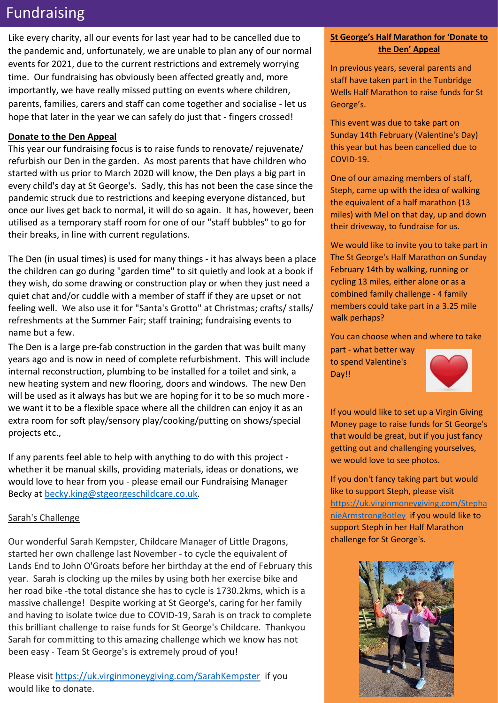### Fundraising

Like every charity, all our events for last year had to be cancelled due to the pandemic and, unfortunately, we are unable to plan any of our normal events for 2021, due to the current restrictions and extremely worrying time. Our fundraising has obviously been affected greatly and, more importantly, we have really missed putting on events where children, parents, families, carers and staff can come together and socialise - let us hope that later in the year we can safely do just that - fingers crossed!

#### **Donate to the Den Appeal**

This year our fundraising focus is to raise funds to renovate/ rejuvenate/ refurbish our Den in the garden. As most parents that have children who started with us prior to March 2020 will know, the Den plays a big part in every child's day at St George's. Sadly, this has not been the case since the pandemic struck due to restrictions and keeping everyone distanced, but once our lives get back to normal, it will do so again. It has, however, been utilised as a temporary staff room for one of our "staff bubbles" to go for their breaks, in line with current regulations.

The Den (in usual times) is used for many things - it has always been a place the children can go during "garden time" to sit quietly and look at a book if they wish, do some drawing or construction play or when they just need a quiet chat and/or cuddle with a member of staff if they are upset or not feeling well. We also use it for "Santa's Grotto" at Christmas; crafts/ stalls/ refreshments at the Summer Fair; staff training; fundraising events to name but a few.

The Den is a large pre-fab construction in the garden that was built many years ago and is now in need of complete refurbishment. This will include internal reconstruction, plumbing to be installed for a toilet and sink, a new heating system and new flooring, doors and windows. The new Den will be used as it always has but we are hoping for it to be so much more we want it to be a flexible space where all the children can enjoy it as an extra room for soft play/sensory play/cooking/putting on shows/special projects etc.,

If any parents feel able to help with anything to do with this project whether it be manual skills, providing materials, ideas or donations, we would love to hear from you - please email our Fundraising Manager Becky at [becky.king@stgeorgeschildcare.co.uk.](mailto:becky.king@stgeorgeschildcare.co.uk)

#### Sarah's Challenge

Our wonderful Sarah Kempster, Childcare Manager of Little Dragons, started her own challenge last November - to cycle the equivalent of Lands End to John O'Groats before her birthday at the end of February this year. Sarah is clocking up the miles by using both her exercise bike and her road bike -the total distance she has to cycle is 1730.2kms, which is a massive challenge! Despite working at St George's, caring for her family and having to isolate twice due to COVID-19, Sarah is on track to complete this brilliant challenge to raise funds for St George's Childcare. Thankyou Sarah for committing to this amazing challenge which we know has not been easy - Team St George's is extremely proud of you!

Please visit<https://uk.virginmoneygiving.com/SarahKempster> if you would like to donate.

#### **St George's Half Marathon for 'Donate to the Den' Appeal**

In previous years, several parents and staff have taken part in the Tunbridge Wells Half Marathon to raise funds for St George's.

This event was due to take part on Sunday 14th February (Valentine's Day) this year but has been cancelled due to COVID-19.

One of our amazing members of staff, Steph, came up with the idea of walking the equivalent of a half marathon (13 miles) with Mel on that day, up and down their driveway, to fundraise for us.

We would like to invite you to take part in The St George's Half Marathon on Sunday February 14th by walking, running or cycling 13 miles, either alone or as a combined family challenge - 4 family members could take part in a 3.25 mile walk perhaps?

You can choose when and where to take

part - what better way to spend Valentine's Day!!



If you would like to set up a Virgin Giving Money page to raise funds for St George's that would be great, but if you just fancy getting out and challenging yourselves, we would love to see photos.

If you don't fancy taking part but would like to support Steph, please visit [https://uk.virginmoneygiving.com/Stepha](https://uk.virginmoneygiving.com/StephanieArmstrongBotley) [nieArmstrongBotley](https://uk.virginmoneygiving.com/StephanieArmstrongBotley) if you would like to support Steph in her Half Marathon challenge for St George's.

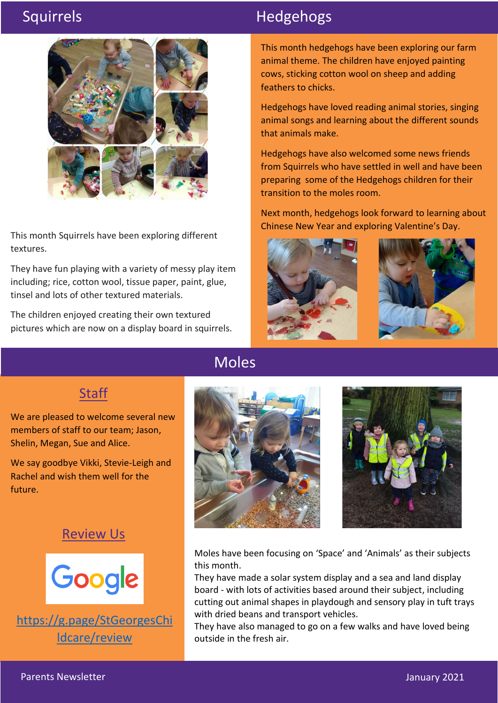

This month Squirrels have been exploring different textures.

They have fun playing with a variety of messy play item including; rice, cotton wool, tissue paper, paint, glue, tinsel and lots of other textured materials.

The children enjoyed creating their own textured pictures which are now on a display board in squirrels.

## Squirrels **Hedgehogs**

This month hedgehogs have been exploring our farm animal theme. The children have enjoyed painting cows, sticking cotton wool on sheep and adding feathers to chicks.

Hedgehogs have loved reading animal stories, singing animal songs and learning about the different sounds that animals make.

Hedgehogs have also welcomed some news friends from Squirrels who have settled in well and have been preparing some of the Hedgehogs children for their transition to the moles room.

Next month, hedgehogs look forward to learning about Chinese New Year and exploring Valentine's Day.



### **Staff**

We are pleased to welcome several new members of staff to our team; Jason, Shelin, Megan, Sue and Alice.

We say goodbye Vikki, Stevie-Leigh and Rachel and wish them well for the future.

### Review Us



[https://g.page/StGeorgesChi](https://g.page/StGeorgesChildcare/review) [ldcare/review](https://g.page/StGeorgesChildcare/review)

## Moles





Moles have been focusing on 'Space' and 'Animals' as their subjects this month.

They have made a solar system display and a sea and land display board - with lots of activities based around their subject, including cutting out animal shapes in playdough and sensory play in tuft trays with dried beans and transport vehicles.

They have also managed to go on a few walks and have loved being outside in the fresh air.